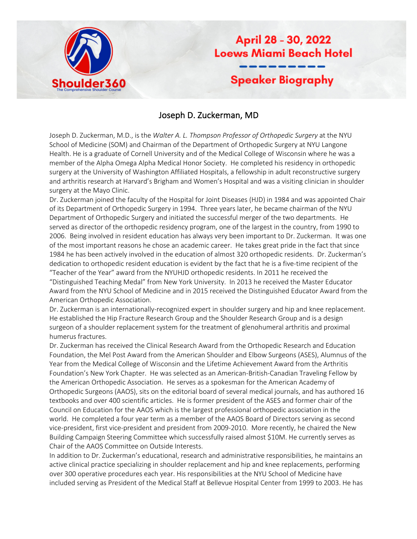

April 28 - 30, 2022 **Loews Miami Beach Hotel Speaker Biography** 

## Joseph D. Zuckerman, MD

Joseph D. Zuckerman, M.D., is the *Walter A. L. Thompson Professor of Orthopedic Surgery* at the NYU School of Medicine (SOM) and Chairman of the Department of Orthopedic Surgery at NYU Langone Health. He is a graduate of Cornell University and of the Medical College of Wisconsin where he was a member of the Alpha Omega Alpha Medical Honor Society. He completed his residency in orthopedic surgery at the University of Washington Affiliated Hospitals, a fellowship in adult reconstructive surgery and arthritis research at Harvard's Brigham and Women's Hospital and was a visiting clinician in shoulder surgery at the Mayo Clinic.

Dr. Zuckerman joined the faculty of the Hospital for Joint Diseases (HJD) in 1984 and was appointed Chair of its Department of Orthopedic Surgery in 1994. Three years later, he became chairman of the NYU Department of Orthopedic Surgery and initiated the successful merger of the two departments. He served as director of the orthopedic residency program, one of the largest in the country, from 1990 to 2006. Being involved in resident education has always very been important to Dr. Zuckerman. It was one of the most important reasons he chose an academic career. He takes great pride in the fact that since 1984 he has been actively involved in the education of almost 320 orthopedic residents. Dr. Zuckerman's dedication to orthopedic resident education is evident by the fact that he is a five-time recipient of the "Teacher of the Year" award from the NYUHJD orthopedic residents. In 2011 he received the "Distinguished Teaching Medal" from New York University. In 2013 he received the Master Educator Award from the NYU School of Medicine and in 2015 received the Distinguished Educator Award from the American Orthopedic Association.

Dr. Zuckerman is an internationally-recognized expert in shoulder surgery and hip and knee replacement. He established the Hip Fracture Research Group and the Shoulder Research Group and is a design surgeon of a shoulder replacement system for the treatment of glenohumeral arthritis and proximal humerus fractures.

Dr. Zuckerman has received the Clinical Research Award from the Orthopedic Research and Education Foundation, the Mel Post Award from the American Shoulder and Elbow Surgeons (ASES), Alumnus of the Year from the Medical College of Wisconsin and the Lifetime Achievement Award from the Arthritis Foundation's New York Chapter. He was selected as an American-British-Canadian Traveling Fellow by the American Orthopedic Association. He serves as a spokesman for the American Academy of Orthopedic Surgeons (AAOS), sits on the editorial board of several medical journals, and has authored 16 textbooks and over 400 scientific articles. He is former president of the ASES and former chair of the Council on Education for the AAOS which is the largest professional orthopedic association in the world. He completed a four year term as a member of the AAOS Board of Directors serving as second vice-president, first vice-president and president from 2009-2010. More recently, he chaired the New Building Campaign Steering Committee which successfully raised almost \$10M. He currently serves as Chair of the AAOS Committee on Outside Interests.

In addition to Dr. Zuckerman's educational, research and administrative responsibilities, he maintains an active clinical practice specializing in shoulder replacement and hip and knee replacements, performing over 300 operative procedures each year. His responsibilities at the NYU School of Medicine have included serving as President of the Medical Staff at Bellevue Hospital Center from 1999 to 2003. He has